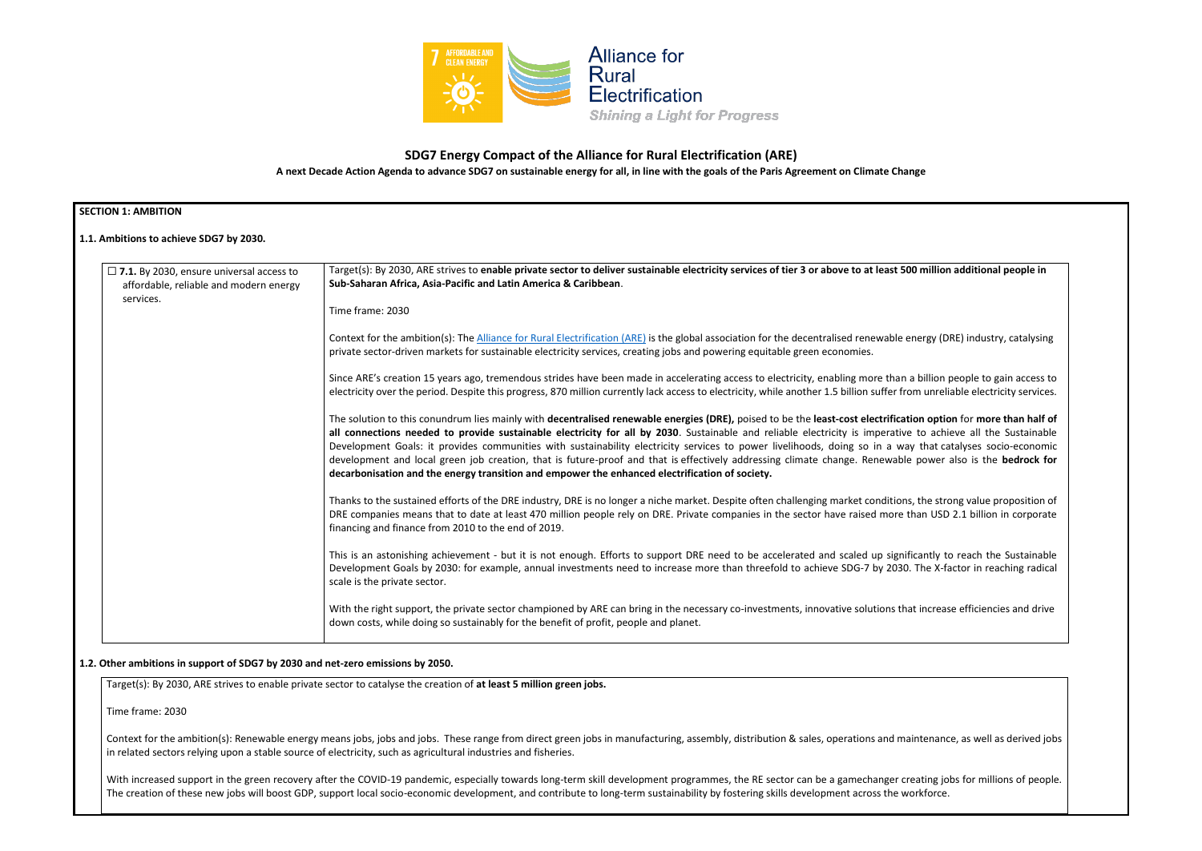

# **SDG7 Energy Compact of the Alliance for Rural Electrification (ARE)**

**A next Decade Action Agenda to advance SDG7 on sustainable energy for all, in line with the goals of the Paris Agreement on Climate Change**

| <b>SECTION 1: AMBITION</b><br>1.1. Ambitions to achieve SDG7 by 2030.                                                                                                                                                                                                                                                                                                                                                                                                                                                                                                                                                                                                                                                                                                 |                                                                                                                                                                                                                                                                                           |  |  |
|-----------------------------------------------------------------------------------------------------------------------------------------------------------------------------------------------------------------------------------------------------------------------------------------------------------------------------------------------------------------------------------------------------------------------------------------------------------------------------------------------------------------------------------------------------------------------------------------------------------------------------------------------------------------------------------------------------------------------------------------------------------------------|-------------------------------------------------------------------------------------------------------------------------------------------------------------------------------------------------------------------------------------------------------------------------------------------|--|--|
|                                                                                                                                                                                                                                                                                                                                                                                                                                                                                                                                                                                                                                                                                                                                                                       |                                                                                                                                                                                                                                                                                           |  |  |
|                                                                                                                                                                                                                                                                                                                                                                                                                                                                                                                                                                                                                                                                                                                                                                       | scale is the private sector.<br>With the right support, the private sector championed by ARE can bring in the necessary co-investments, innovative solutions that increase efficiencies and drive<br>down costs, while doing so sustainably for the benefit of profit, people and planet. |  |  |
| 1.2. Other ambitions in support of SDG7 by 2030 and net-zero emissions by 2050.                                                                                                                                                                                                                                                                                                                                                                                                                                                                                                                                                                                                                                                                                       |                                                                                                                                                                                                                                                                                           |  |  |
|                                                                                                                                                                                                                                                                                                                                                                                                                                                                                                                                                                                                                                                                                                                                                                       | Target(s): By 2030, ARE strives to enable private sector to catalyse the creation of at least 5 million green jobs.                                                                                                                                                                       |  |  |
| Time frame: 2030<br>Context for the ambition(s): Renewable energy means jobs, jobs and jobs. These range from direct green jobs in manufacturing, assembly, distribution & sales, operations and maintenance, as well as derived jobs<br>in related sectors relying upon a stable source of electricity, such as agricultural industries and fisheries.<br>With increased support in the green recovery after the COVID-19 pandemic, especially towards long-term skill development programmes, the RE sector can be a gamechanger creating jobs for millions of people.<br>The creation of these new jobs will boost GDP, support local socio-economic development, and contribute to long-term sustainability by fostering skills development across the workforce. |                                                                                                                                                                                                                                                                                           |  |  |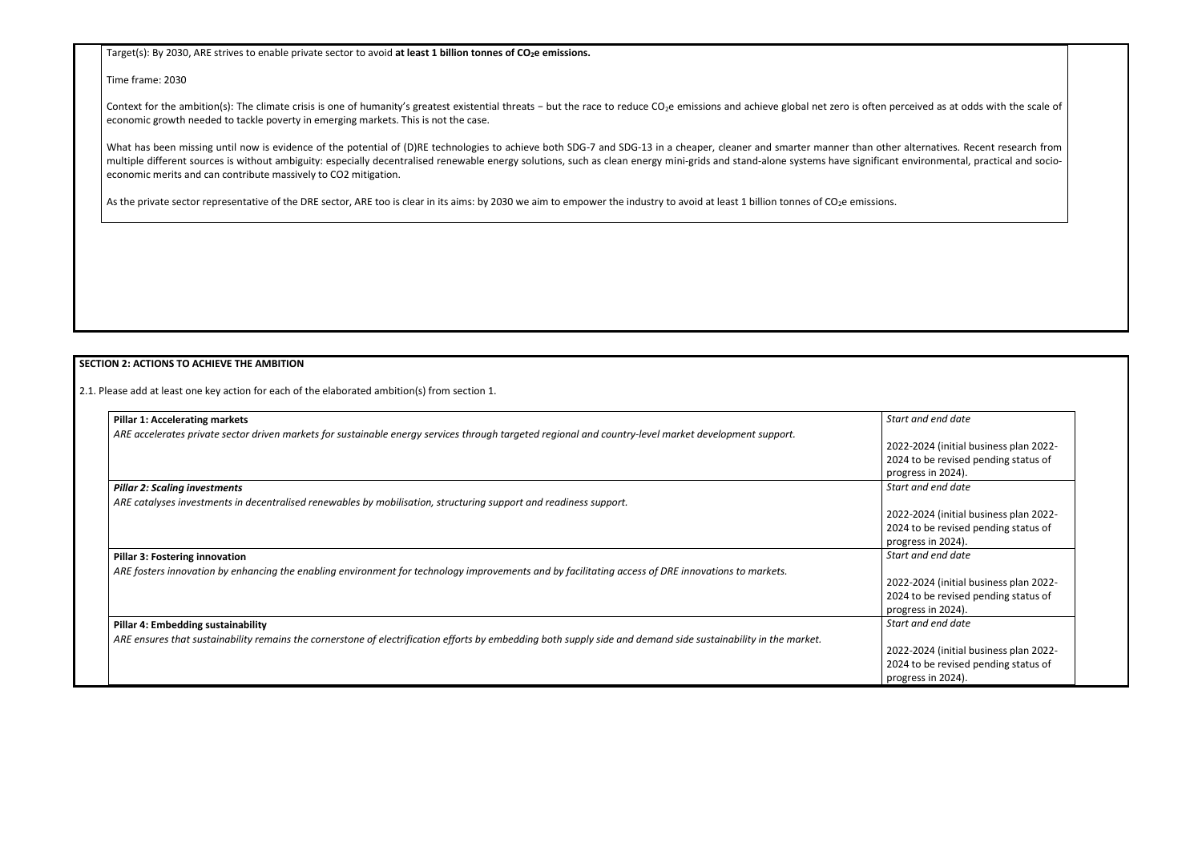Target(s): By 2030, ARE strives to enable private sector to avoid **at least 1 billion tonnes of CO2e emissions.**

Time frame: 2030

Context for the ambition(s): The climate crisis is one of humanity's greatest existential threats − but the race to reduce CO<sub>2</sub>e emissions and achieve global net zero is often perceived as at odds with the scale of economic growth needed to tackle poverty in emerging markets. This is not the case.

What has been missing until now is evidence of the potential of (D)RE technologies to achieve both SDG-7 and SDG-13 in a cheaper, cleaner and smarter manner than other alternatives. Recent research from multiple different sources is without ambiguity: especially decentralised renewable energy solutions, such as clean energy mini-grids and stand-alone systems have significant environmental, practical and socioeconomic merits and can contribute massively to CO2 mitigation.

As the private sector representative of the DRE sector, ARE too is clear in its aims: by 2030 we aim to empower the industry to avoid at least 1 billion tonnes of CO<sub>2</sub>e emissions.

| <b>Pillar 1: Accelerating markets</b>                                                                                                                          | Start and end date                     |
|----------------------------------------------------------------------------------------------------------------------------------------------------------------|----------------------------------------|
| ARE accelerates private sector driven markets for sustainable energy services through targeted regional and country-level market development support.          |                                        |
|                                                                                                                                                                | 2022-2024 (initial business plan 2022- |
|                                                                                                                                                                | 2024 to be revised pending status of   |
|                                                                                                                                                                | progress in 2024).                     |
| <b>Pillar 2: Scaling investments</b>                                                                                                                           | Start and end date                     |
| ARE catalyses investments in decentralised renewables by mobilisation, structuring support and readiness support.                                              |                                        |
|                                                                                                                                                                | 2022-2024 (initial business plan 2022- |
|                                                                                                                                                                | 2024 to be revised pending status of   |
|                                                                                                                                                                | progress in 2024).                     |
| <b>Pillar 3: Fostering innovation</b>                                                                                                                          | Start and end date                     |
| ARE fosters innovation by enhancing the enabling environment for technology improvements and by facilitating access of DRE innovations to markets.             |                                        |
|                                                                                                                                                                | 2022-2024 (initial business plan 2022- |
|                                                                                                                                                                | 2024 to be revised pending status of   |
|                                                                                                                                                                | progress in 2024).                     |
| <b>Pillar 4: Embedding sustainability</b>                                                                                                                      | Start and end date                     |
| ARE ensures that sustainability remains the cornerstone of electrification efforts by embedding both supply side and demand side sustainability in the market. |                                        |
|                                                                                                                                                                | 2022-2024 (initial business plan 2022- |
|                                                                                                                                                                | 2024 to be revised pending status of   |
|                                                                                                                                                                | progress in 2024).                     |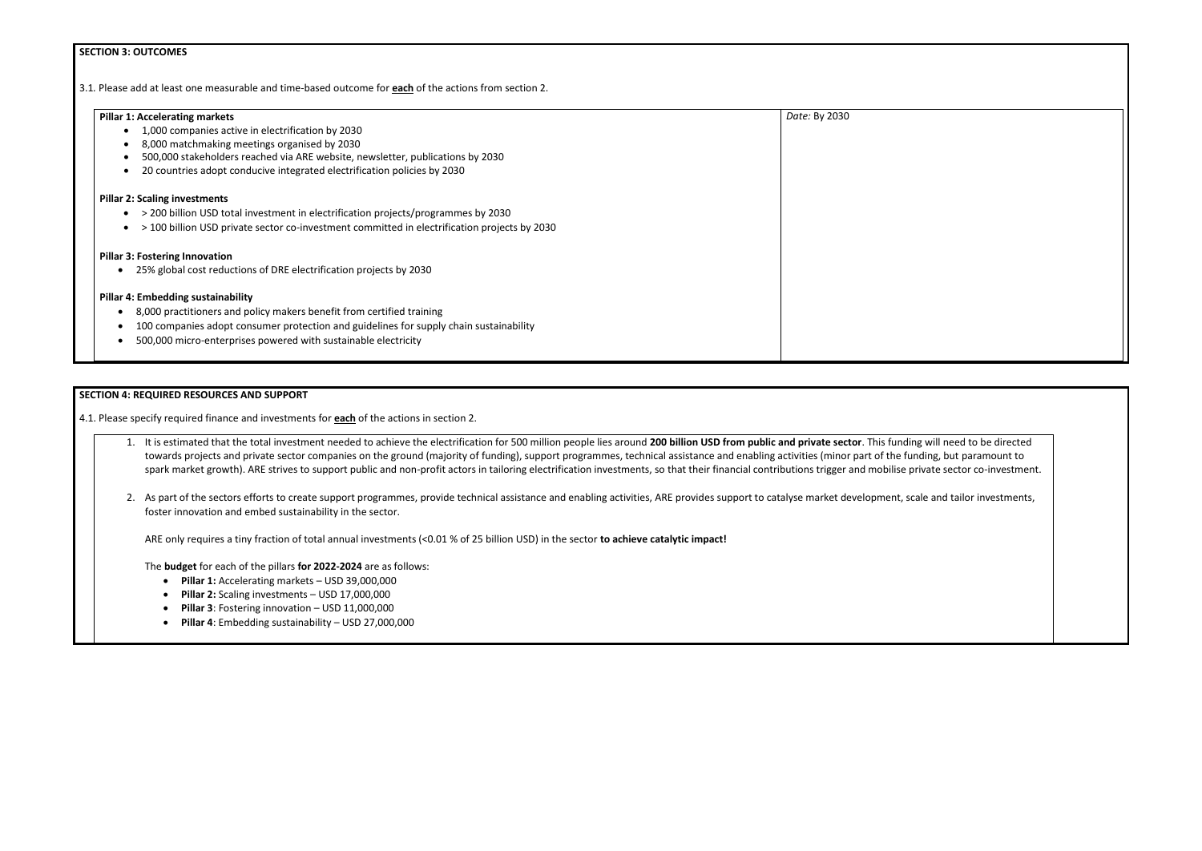# **SECTION 3: OUTCOMES**

3.1*.* Please add at least one measurable and time-based outcome for **each** of the actions from section 2.

| <b>Pillar 1: Accelerating markets</b>                                                       | Date: By 2030 |
|---------------------------------------------------------------------------------------------|---------------|
| 1,000 companies active in electrification by 2030                                           |               |
| 8,000 matchmaking meetings organised by 2030                                                |               |
| 500,000 stakeholders reached via ARE website, newsletter, publications by 2030              |               |
| 20 countries adopt conducive integrated electrification policies by 2030                    |               |
| <b>Pillar 2: Scaling investments</b>                                                        |               |
| > 200 billion USD total investment in electrification projects/programmes by 2030           |               |
| >100 billion USD private sector co-investment committed in electrification projects by 2030 |               |
| <b>Pillar 3: Fostering Innovation</b>                                                       |               |
| 25% global cost reductions of DRE electrification projects by 2030                          |               |
| <b>Pillar 4: Embedding sustainability</b>                                                   |               |
| 8,000 practitioners and policy makers benefit from certified training<br>$\bullet$          |               |
| 100 companies adopt consumer protection and guidelines for supply chain sustainability      |               |
| 500,000 micro-enterprises powered with sustainable electricity                              |               |
|                                                                                             |               |

# **SECTION 4: REQUIRED RESOURCES AND SUPPORT**

4.1. Please specify required finance and investments for **each** of the actions in section 2.

- 1. It is estimated that the total investment needed to achieve the electrification for 500 million people lies around **200 billion USD from public and private sector**. This funding will need to be directed towards projects and private sector companies on the ground (majority of funding), support programmes, technical assistance and enabling activities (minor part of the funding, but paramount to spark market growth). ARE strives to support public and non-profit actors in tailoring electrification investments, so that their financial contributions trigger and mobilise private sector co-investment.
- 2. As part of the sectors efforts to create support programmes, provide technical assistance and enabling activities, ARE provides support to catalyse market development, scale and tailor investments, foster innovation and embed sustainability in the sector.

ARE only requires a tiny fraction of total annual investments (<0.01 % of 25 billion USD) in the sector **to achieve catalytic impact!**

The **budget** for each of the pillars **for 2022-2024** are as follows:

- **Pillar 1:** Accelerating markets USD 39,000,000
- **Pillar 2:** Scaling investments USD 17,000,000
- **Pillar 3**: Fostering innovation USD 11,000,000
- **Pillar 4**: Embedding sustainability USD 27,000,000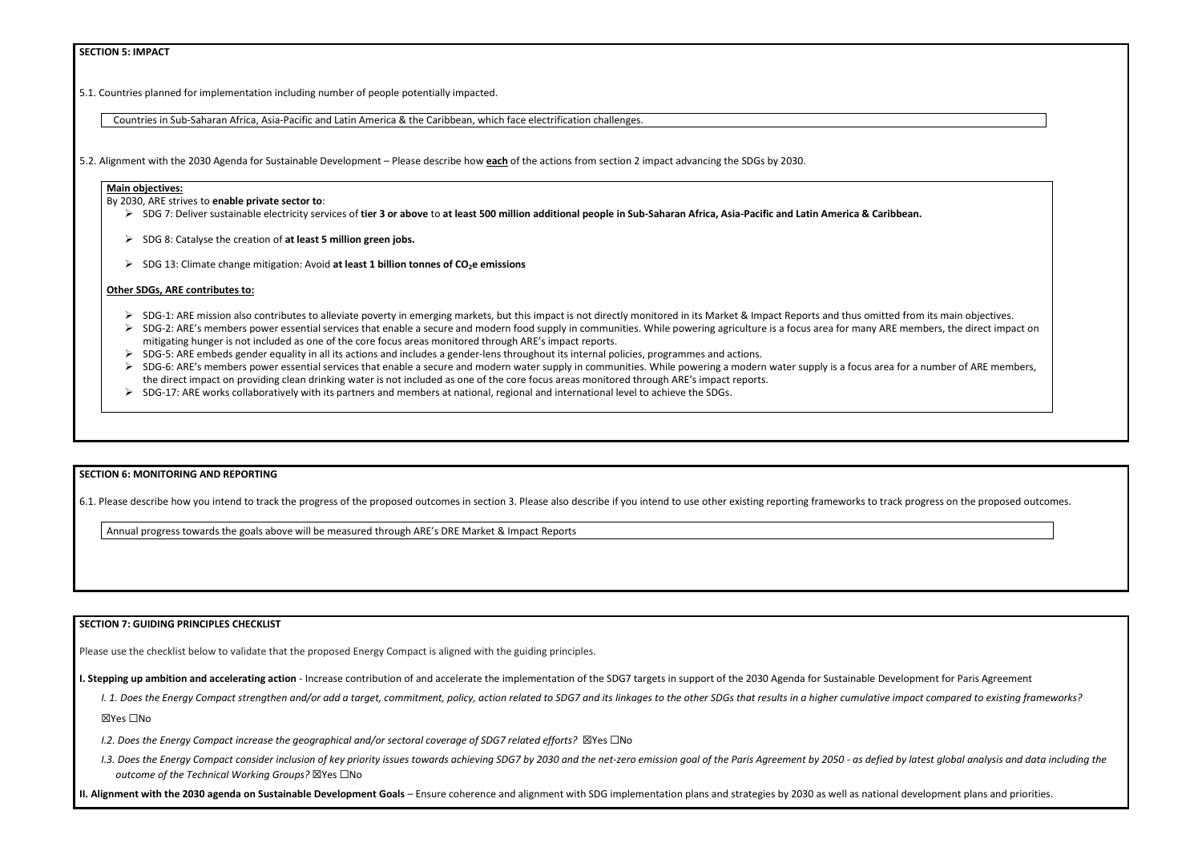# **SECTION 5: IMPACT**

5.1. Countries planned for implementation including number of people potentially impacted.

Countries in Sub-Saharan Africa, Asia-Pacific and Latin America & the Caribbean, which face electrification challenges.

5.2. Alignment with the 2030 Agenda for Sustainable Development – Please describe how **each** of the actions from section 2 impact advancing the SDGs by 2030.

### **Main objectives:**

By 2030, ARE strives to **enable private sector to**:

- ➢ SDG 7: Deliver sustainable electricity services of **tier 3 or above** to **at least 500 million additional people in Sub-Saharan Africa, Asia-Pacific and Latin America & Caribbean.**
- ➢ SDG 8: Catalyse the creation of **at least 5 million green jobs.**
- ➢ SDG 13: Climate change mitigation: Avoid **at least 1 billion tonnes of CO2e emissions**

### **Other SDGs, ARE contributes to:**

- $\triangleright$  SDG-1: ARE mission also contributes to alleviate poverty in emerging markets, but this impact is not directly monitored in its Market & Impact Reports and thus omitted from its Market and thus omitted from its Mark
- $\triangleright$  SDG-2: ARE's members power essential services that enable a secure and modern food supply in communities. While powering agriculture is a focus area for many ARE m mitigating hunger is not included as one of the core focus areas monitored through ARE's impact reports.
- ➢ SDG-5: ARE embeds gender equality in all its actions and includes a gender-lens throughout its internal policies, programmes and actions.
- $\triangleright$  SDG-6: ARE's members power essential services that enable a secure and modern water supply in communities. While powering a modern water supply is a focus area for the direct impact on providing clean drinking water is not included as one of the core focus areas monitored through ARE's impact reports.
- ➢ SDG-17: ARE works collaboratively with its partners and members at national, regional and international level to achieve the SDGs.

I. 1. Does the Energy Compact strengthen and/or add a target, commitment, policy, action related to SDG7 and its linkages to the other SDGs that results in a higher cumulative impact compared to existing frameworks? ☒Yes ☐No

### **SECTION 6: MONITORING AND REPORTING**

6.1. Please describe how you intend to track the progress of the proposed outcomes in section 3. Please also describe if you intend to use other existing reporting frameworks to track

Annual progress towards the goals above will be measured through ARE's DRE Market & Impact Reports

### **SECTION 7: GUIDING PRINCIPLES CHECKLIST**

Please use the checklist below to validate that the proposed Energy Compact is aligned with the guiding principles.

**I. Stepping up ambition and accelerating action** - Increase contribution of and accelerate the implementation of the SDG7 targets in support of the 2030 Agenda for Sustainable Development for Paris Agreement

- *I.2. Does the Energy Compact increase the geographical and/or sectoral coverage of SDG7 related efforts?* ☒Yes ☐No
- 1.3. Does the Energy Compact consider inclusion of key priority issues towards achieving SDG7 by 2030 and the net-zero emission goal of the Paris Agreement by 2050 as defied by latest global analysis and data including t *outcome of the Technical Working Groups?* ☒Yes ☐No

**II. Alignment with the 2030 agenda on Sustainable Development Goals** – Ensure coherence and alignment with SDG implementation plans and strategies by 2030 as well as national development plans and priorities.

| an.                                                      |  |  |
|----------------------------------------------------------|--|--|
|                                                          |  |  |
| rom its main objectives.<br>embers, the direct impact on |  |  |
| r a number of ARE members,                               |  |  |
|                                                          |  |  |
|                                                          |  |  |
| progress on the proposed outcomes.                       |  |  |
|                                                          |  |  |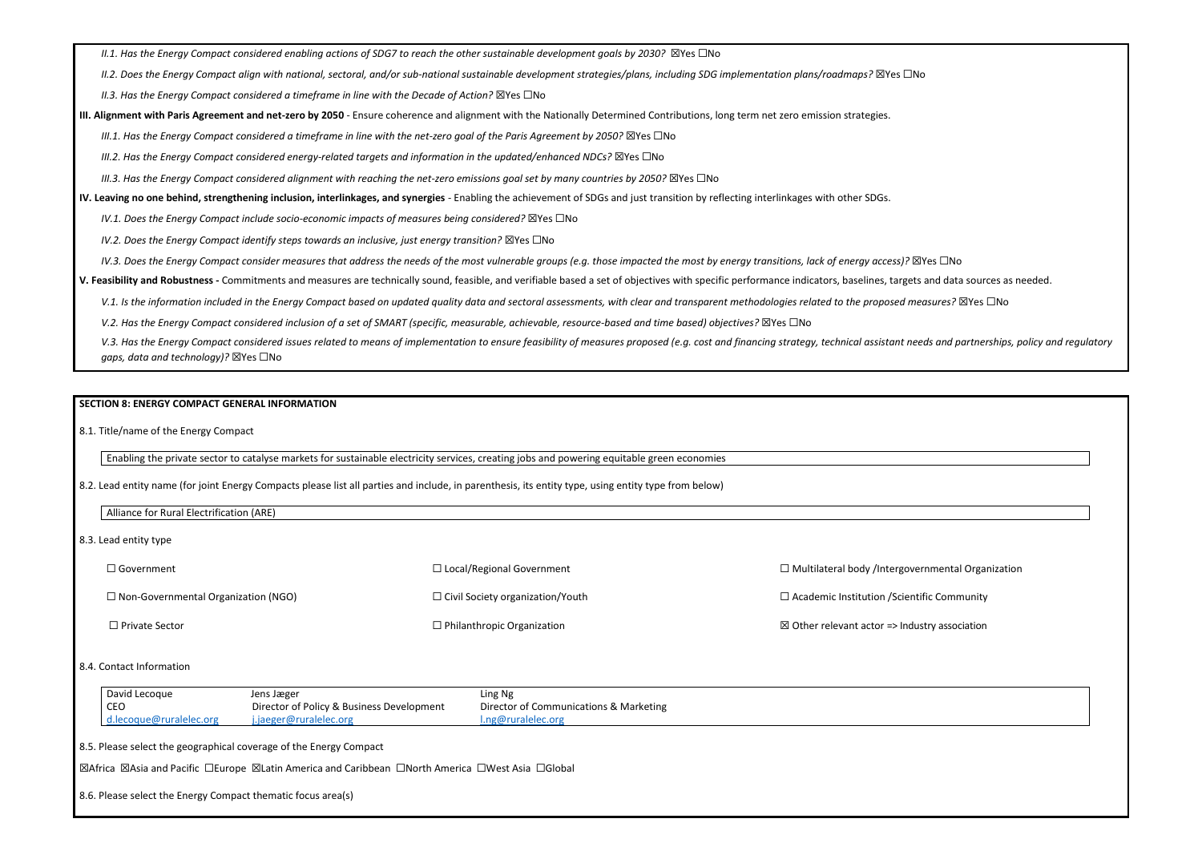*II.1. Has the Energy Compact considered enabling actions of SDG7 to reach the other sustainable development goals by 2030?* ⊠Yes □No

*II.2. Does the Energy Compact align with national, sectoral, and/or sub-national sustainable development strategies/plans, including SDG implementation plans/roadmaps?* ☒Yes ☐No

*II.3. Has the Energy Compact considered a timeframe in line with the Decade of Action?* ⊠Yes □No

**III. Alignment with Paris Agreement and net-zero by 2050** - Ensure coherence and alignment with the Nationally Determined Contributions, long term net zero emission strategies.

*III.1. Has the Energy Compact considered a timeframe in line with the net-zero goal of the Paris Agreement by 2050?* ⊠Yes □No

*III.2. Has the Energy Compact considered energy-related targets and information in the updated/enhanced NDCs?* ⊠Yes □No

*III.3. Has the Energy Compact considered alignment with reaching the net-zero emissions goal set by many countries by 2050?* ⊠Yes □No

**IV. Leaving no one behind, strengthening inclusion, interlinkages, and synergies** - Enabling the achievement of SDGs and just transition by reflecting interlinkages with other SDGs.

*IV.1. Does the Energy Compact include socio-economic impacts of measures being considered?* ⊠Yes □No

*IV.2. Does the Energy Compact identify steps towards an inclusive, just energy transition?* ⊠Yes □No

*IV.3. Does the Energy Compact consider measures that address the needs of the most vulnerable groups (e.g. those impacted the most by energy transitions, lack of energy access)?* ⊠Yes □No

V.3. Has the Energy Compact considered issues related to means of implementation to ensure feasibility of measures proposed (e.g. cost and financing strategy, technical assistant needs and partnerships, policy and regulato *gaps, data and technology)?* ☒Yes ☐No

☐ Government ☐ Non-Governmental Organization (NGO) ☐ Private Sector ☐ Local/Regional Government ☐ Civil Society organization/Youth ☐ Philanthropic Organization ☐ Multilateral body /Intergovernmental Organization ☐ Academic Institution /Scientific Community  $\boxtimes$  Other relevant actor => Industry association

**V. Feasibility and Robustness -** Commitments and measures are technically sound, feasible, and verifiable based a set of objectives with specific performance indicators, baselines, targets and data sources as needed.

V.1. Is the information included in the Energy Compact based on updated quality data and sectoral assessments, with clear and transparent methodologies related to the proposed measures? ⊠Yes □No

*V.2. Has the Energy Compact considered inclusion of a set of SMART (specific, measurable, achievable, resource-based and time based) objectives?* ⊠Yes □No

# **SECTION 8: ENERGY COMPACT GENERAL INFORMATION**

8.1. Title/name of the Energy Compact

Enabling the private sector to catalyse markets for sustainable electricity services, creating jobs and powering equitable green economies

8.2. Lead entity name (for joint Energy Compacts please list all parties and include, in parenthesis, its entity type, using entity type from below)

| .<br><b>ADL</b><br>Allıa<br>- 100<br>TOI<br>.<br><b>BUIL</b><br>ANE |
|---------------------------------------------------------------------|
|                                                                     |

8.3. Lead entity type

### 8.4. Contact Information

| David Lecoque           | Jens Jæger                                | Ling Ng                                |
|-------------------------|-------------------------------------------|----------------------------------------|
| $ $ CEO                 | Director of Policy & Business Development | Director of Communications & Marketing |
| d.lecoque@ruralelec.org | i.jaeger@ruralelec.org                    | 1.ng@ruralelec.org                     |

8.5. Please select the geographical coverage of the Energy Compact

☒Africa ☒Asia and Pacific ☐Europe ☒Latin America and Caribbean ☐North America ☐West Asia ☐Global

8.6. Please select the Energy Compact thematic focus area(s)